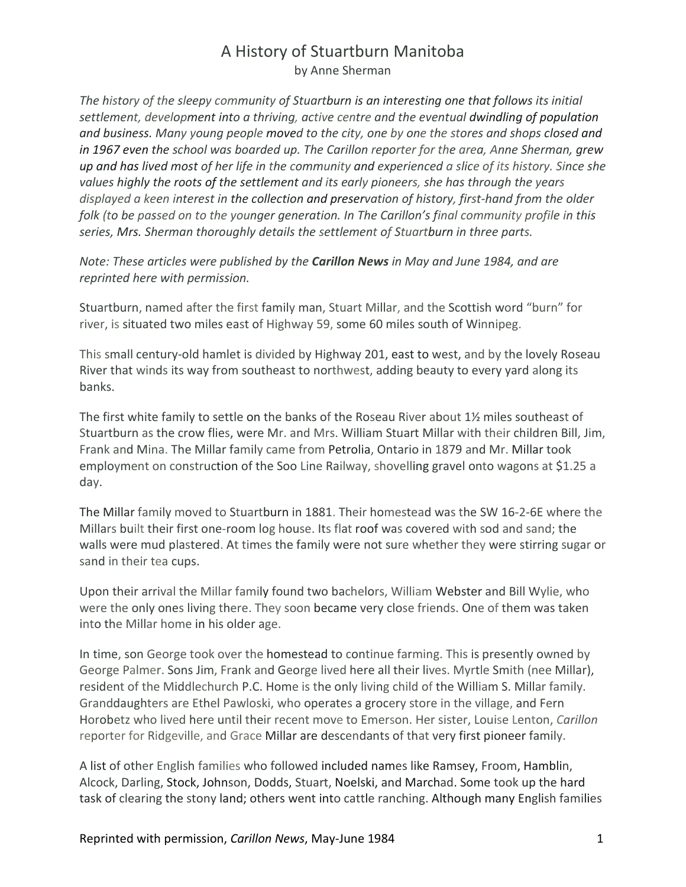*The history of the sleepy community of Stuartburn is an interesting one that follows its initial settlement, development into a thriving, active centre and the eventual dwindling of population and business. Many young people moved to the city, one by one the stores and shops closed and in 1967 even the school was boarded up. The Carillon reporter for the area, Anne Sherman, grew up and has lived most of her life in the community and experienced a slice of its history. Since she values highly the roots of the settlement and its early pioneers, she has through the years displayed a keen interest in the collection and preservation of history, first-hand from the older folk (to be passed on to the younger generation. In The Carillon's final community profile in this series, Mrs. Sherman thoroughly details the settlement of Stuartburn in three parts.*

*Note: These articles were published by the Carillon News in May and June 1984, and are reprinted here with permission.*

Stuartburn, named after the first family man, Stuart Millar, and the Scottish word "burn" for river, is situated two miles east of Highway 59, some 60 miles south of Winnipeg.

This small century-old hamlet is divided by Highway 201, east to west, and by the lovely Roseau River that winds its way from southeast to northwest, adding beauty to every yard along its banks.

The first white family to settle on the banks of the Roseau River about 1½ miles southeast of Stuartburn as the crow flies, were Mr. and Mrs. William Stuart Millar with their children Bill, Jim, Frank and Mina. The Millar family came from Petrolia, Ontario in 1879 and Mr. Millar took employment on construction of the Soo Line Railway, shovelling gravel onto wagons at \$1.25 a day.

The Millar family moved to Stuartburn in 1881. Their homestead was the SW 16-2-6E where the Millars built their first one-room log house. Its flat roof was covered with sod and sand; the walls were mud plastered. At times the family were not sure whether they were stirring sugar or sand in their tea cups.

Upon their arrival the Millar family found two bachelors, William Webster and Bill Wylie, who were the only ones living there. They soon became very close friends. One of them was taken into the Millar home in his older age.

In time, son George took over the homestead to continue farming. This is presently owned by George Palmer. Sons Jim, Frank and George lived here all their lives. Myrtle Smith (nee Millar), resident of the Middlechurch P.C. Home is the only living child of the William S. Millar family. Granddaughters are Ethel Pawloski, who operates a grocery store in the village, and Fern Horobetz who lived here until their recent move to Emerson. Her sister, Louise Lenton, *Carillon* reporter for Ridgeville, and Grace Millar are descendants of that very first pioneer family.

A list of other English families who followed included names like Ramsey, Froom, Hamblin, Alcock, Darling, Stock, Johnson, Dodds, Stuart, Noelski, and Marchad. Some took up the hard task of clearing the stony land; others went into cattle ranching. Although many English families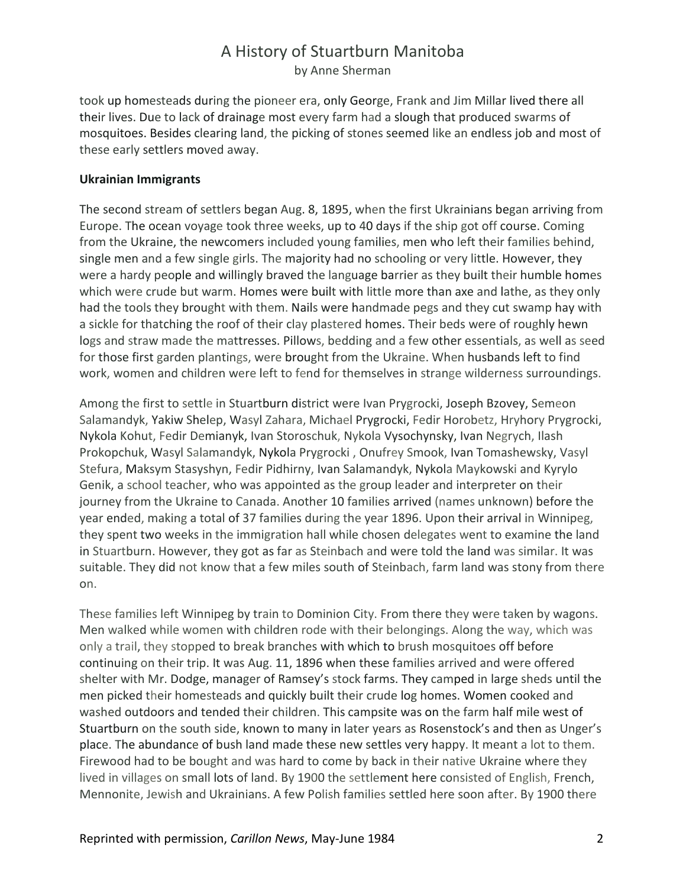took up homesteads during the pioneer era, only George, Frank and Jim Millar lived there all their lives. Due to lack of drainage most every farm had a slough that produced swarms of mosquitoes. Besides clearing land, the picking of stones seemed like an endless job and most of these early settlers moved away.

#### **Ukrainian Immigrants**

The second stream of settlers began Aug. 8, 1895, when the first Ukrainians began arriving from Europe. The ocean voyage took three weeks, up to 40 days if the ship got off course. Coming from the Ukraine, the newcomers included young families, men who left their families behind, single men and a few single girls. The majority had no schooling or very little. However, they were a hardy people and willingly braved the language barrier as they built their humble homes which were crude but warm. Homes were built with little more than axe and lathe, as they only had the tools they brought with them. Nails were handmade pegs and they cut swamp hay with a sickle for thatching the roof of their clay plastered homes. Their beds were of roughly hewn logs and straw made the mattresses. Pillows, bedding and a few other essentials, as well as seed for those first garden plantings, were brought from the Ukraine. When husbands left to find work, women and children were left to fend for themselves in strange wilderness surroundings.

Among the first to settle in Stuartburn district were Ivan Prygrocki, Joseph Bzovey, Semeon Salamandyk, Yakiw Shelep, Wasyl Zahara, Michael Prygrocki, Fedir Horobetz, Hryhory Prygrocki, Nykola Kohut, Fedir Demianyk, Ivan Storoschuk, Nykola Vysochynsky, Ivan Negrych, Ilash Prokopchuk, Wasyl Salamandyk, Nykola Prygrocki , Onufrey Smook, Ivan Tomashewsky, Vasyl Stefura, Maksym Stasyshyn, Fedir Pidhirny, Ivan Salamandyk, Nykola Maykowski and Kyrylo Genik, a school teacher, who was appointed as the group leader and interpreter on their journey from the Ukraine to Canada. Another 10 families arrived (names unknown) before the year ended, making a total of 37 families during the year 1896. Upon their arrival in Winnipeg, they spent two weeks in the immigration hall while chosen delegates went to examine the land in Stuartburn. However, they got as far as Steinbach and were told the land was similar. It was suitable. They did not know that a few miles south of Steinbach, farm land was stony from there on.

These families left Winnipeg by train to Dominion City. From there they were taken by wagons. Men walked while women with children rode with their belongings. Along the way, which was only a trail, they stopped to break branches with which to brush mosquitoes off before continuing on their trip. It was Aug. 11, 1896 when these families arrived and were offered shelter with Mr. Dodge, manager of Ramsey's stock farms. They camped in large sheds until the men picked their homesteads and quickly built their crude log homes. Women cooked and washed outdoors and tended their children. This campsite was on the farm half mile west of Stuartburn on the south side, known to many in later years as Rosenstock's and then as Unger's place. The abundance of bush land made these new settles very happy. It meant a lot to them. Firewood had to be bought and was hard to come by back in their native Ukraine where they lived in villages on small lots of land. By 1900 the settlement here consisted of English, French, Mennonite, Jewish and Ukrainians. A few Polish families settled here soon after. By 1900 there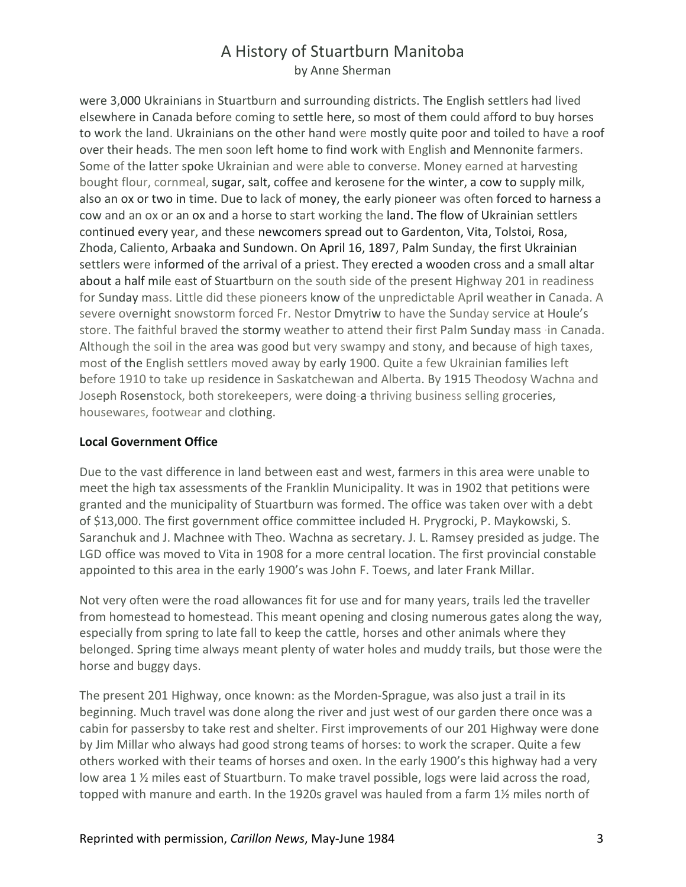were 3,000 Ukrainians in Stuartburn and surrounding districts. The English settlers had lived elsewhere in Canada before coming to settle here, so most of them could afford to buy horses to work the land. Ukrainians on the other hand were mostly quite poor and toiled to have a roof over their heads. The men soon left home to find work with English and Mennonite farmers. Some of the latter spoke Ukrainian and were able to converse. Money earned at harvesting bought flour, cornmeal, sugar, salt, coffee and kerosene for the winter, a cow to supply milk, also an ox or two in time. Due to lack of money, the early pioneer was often forced to harness a cow and an ox or an ox and a horse to start working the land. The flow of Ukrainian settlers continued every year, and these newcomers spread out to Gardenton, Vita, Tolstoi, Rosa, Zhoda, Caliento, Arbaaka and Sundown. On April 16, 1897, Palm Sunday, the first Ukrainian settlers were informed of the arrival of a priest. They erected a wooden cross and a small altar about a half mile east of Stuartburn on the south side of the present Highway 201 in readiness for Sunday mass. Little did these pioneers know of the unpredictable April weather in Canada. A severe overnight snowstorm forced Fr. Nestor Dmytriw to have the Sunday service at Houle's store. The faithful braved the stormy weather to attend their first Palm Sunday mass ·in Canada. Although the soil in the area was good but very swampy and stony, and because of high taxes, most of the English settlers moved away by early 1900. Quite a few Ukrainian families left before 1910 to take up residence in Saskatchewan and Alberta. By 1915 Theodosy Wachna and Joseph Rosenstock, both storekeepers, were doing-a thriving business selling groceries, housewares, footwear and clothing.

#### **Local Government Office**

Due to the vast difference in land between east and west, farmers in this area were unable to meet the high tax assessments of the Franklin Municipality. It was in 1902 that petitions were granted and the municipality of Stuartburn was formed. The office was taken over with a debt of \$13,000. The first government office committee included H. Prygrocki, P. Maykowski, S. Saranchuk and J. Machnee with Theo. Wachna as secretary. J. L. Ramsey presided as judge. The LGD office was moved to Vita in 1908 for a more central location. The first provincial constable appointed to this area in the early 1900's was John F. Toews, and later Frank Millar.

Not very often were the road allowances fit for use and for many years, trails led the traveller from homestead to homestead. This meant opening and closing numerous gates along the way, especially from spring to late fall to keep the cattle, horses and other animals where they belonged. Spring time always meant plenty of water holes and muddy trails, but those were the horse and buggy days.

The present 201 Highway, once known: as the Morden-Sprague, was also just a trail in its beginning. Much travel was done along the river and just west of our garden there once was a cabin for passersby to take rest and shelter. First improvements of our 201 Highway were done by Jim Millar who always had good strong teams of horses: to work the scraper. Quite a few others worked with their teams of horses and oxen. In the early 1900's this highway had a very low area 1 % miles east of Stuartburn. To make travel possible, logs were laid across the road, topped with manure and earth. In the 1920s gravel was hauled from a farm 1½ miles north of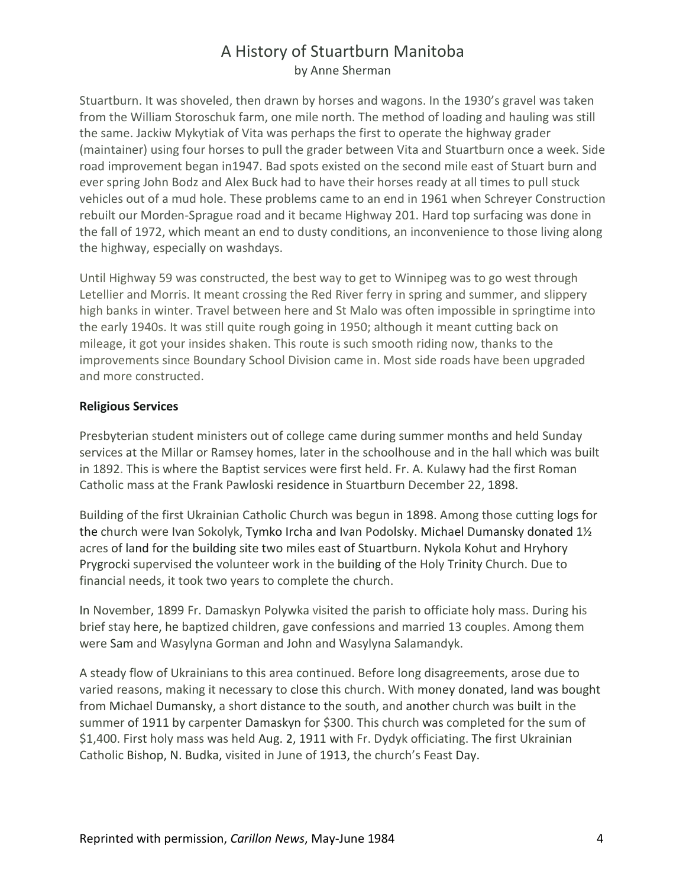Stuartburn. It was shoveled, then drawn by horses and wagons. In the 1930's gravel was taken from the William Storoschuk farm, one mile north. The method of loading and hauling was still the same. Jackiw Mykytiak of Vita was perhaps the first to operate the highway grader (maintainer) using four horses to pull the grader between Vita and Stuartburn once a week. Side road improvement began in1947. Bad spots existed on the second mile east of Stuart burn and ever spring John Bodz and Alex Buck had to have their horses ready at all times to pull stuck vehicles out of a mud hole. These problems came to an end in 1961 when Schreyer Construction rebuilt our Morden-Sprague road and it became Highway 201. Hard top surfacing was done in the fall of 1972, which meant an end to dusty conditions, an inconvenience to those living along the highway, especially on washdays.

Until Highway 59 was constructed, the best way to get to Winnipeg was to go west through Letellier and Morris. It meant crossing the Red River ferry in spring and summer, and slippery high banks in winter. Travel between here and St Malo was often impossible in springtime into the early 1940s. It was still quite rough going in 1950; although it meant cutting back on mileage, it got your insides shaken. This route is such smooth riding now, thanks to the improvements since Boundary School Division came in. Most side roads have been upgraded and more constructed.

#### **Religious Services**

Presbyterian student ministers out of college came during summer months and held Sunday services at the Millar or Ramsey homes, later in the schoolhouse and in the hall which was built in 1892. This is where the Baptist services were first held. Fr. A. Kulawy had the first Roman Catholic mass at the Frank Pawloski residence in Stuartburn December 22, 1898.

Building of the first Ukrainian Catholic Church was begun in 1898. Among those cutting logs for the church were Ivan Sokolyk, Tymko Ircha and Ivan Podolsky. Michael Dumansky donated 1½ acres of land for the building site two miles east of Stuartburn. Nykola Kohut and Hryhory Prygrocki supervised the volunteer work in the building of the Holy Trinity Church. Due to financial needs, it took two years to complete the church.

In November, 1899 Fr. Damaskyn Polywka visited the parish to officiate holy mass. During his brief stay here, he baptized children, gave confessions and married 13 couples. Among them were Sam and Wasylyna Gorman and John and Wasylyna Salamandyk.

A steady flow of Ukrainians to this area continued. Before long disagreements, arose due to varied reasons, making it necessary to close this church. With money donated, land was bought from Michael Dumansky, a short distance to the south, and another church was built in the summer of 1911 by carpenter Damaskyn for \$300. This church was completed for the sum of \$1,400. First holy mass was held Aug. 2, 1911 with Fr. Dydyk officiating. The first Ukrainian Catholic Bishop, N. Budka, visited in June of 1913, the church's Feast Day.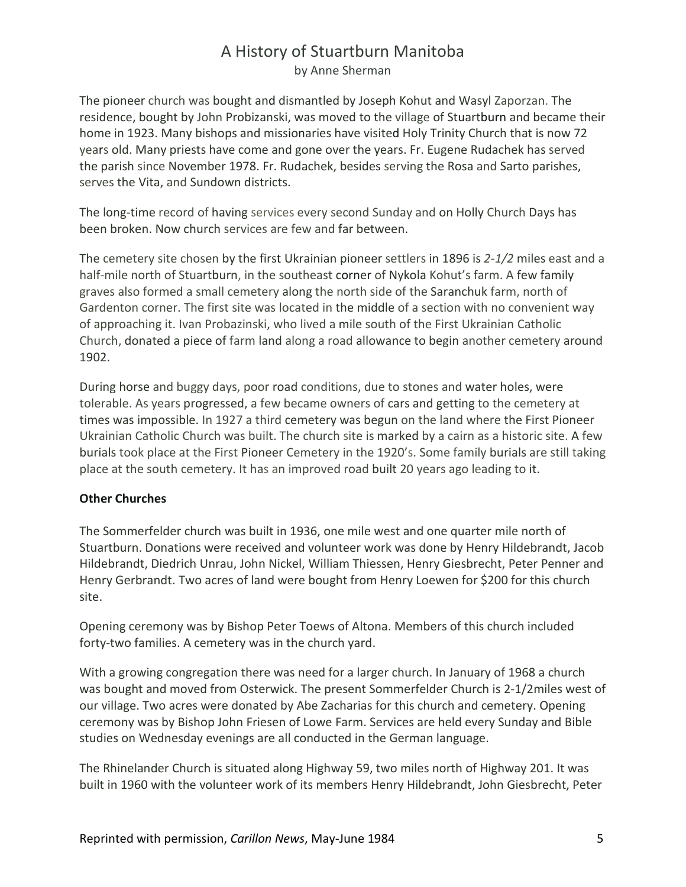# A History of Stuartburn Manitoba

by Anne Sherman

The pioneer church was bought and dismantled by Joseph Kohut and Wasyl Zaporzan. The residence, bought by John Probizanski, was moved to the village of Stuartburn and became their home in 1923. Many bishops and missionaries have visited Holy Trinity Church that is now 72 years old. Many priests have come and gone over the years. Fr. Eugene Rudachek has served the parish since November 1978. Fr. Rudachek, besides serving the Rosa and Sarto parishes, serves the Vita, and Sundown districts.

The long-time record of having services every second Sunday and on Holly Church Days has been broken. Now church services are few and far between.

The cemetery site chosen by the first Ukrainian pioneer settlers in 1896 is *2-1/2* miles east and a half-mile north of Stuartburn, in the southeast corner of Nykola Kohut's farm. A few family graves also formed a small cemetery along the north side of the Saranchuk farm, north of Gardenton corner. The first site was located in the middle of a section with no convenient way of approaching it. Ivan Probazinski, who lived a mile south of the First Ukrainian Catholic Church, donated a piece of farm land along a road allowance to begin another cemetery around 1902.

During horse and buggy days, poor road conditions, due to stones and water holes, were tolerable. As years progressed, a few became owners of cars and getting to the cemetery at times was impossible. In 1927 a third cemetery was begun on the land where the First Pioneer Ukrainian Catholic Church was built. The church site is marked by a cairn as a historic site. A few burials took place at the First Pioneer Cemetery in the 1920's. Some family burials are still taking place at the south cemetery. It has an improved road built 20 years ago leading to it.

#### **Other Churches**

The Sommerfelder church was built in 1936, one mile west and one quarter mile north of Stuartburn. Donations were received and volunteer work was done by Henry Hildebrandt, Jacob Hildebrandt, Diedrich Unrau, John Nickel, William Thiessen, Henry Giesbrecht, Peter Penner and Henry Gerbrandt. Two acres of land were bought from Henry Loewen for \$200 for this church site.

Opening ceremony was by Bishop Peter Toews of Altona. Members of this church included forty-two families. A cemetery was in the church yard.

With a growing congregation there was need for a larger church. In January of 1968 a church was bought and moved from Osterwick. The present Sommerfelder Church is 2-1/2miles west of our village. Two acres were donated by Abe Zacharias for this church and cemetery. Opening ceremony was by Bishop John Friesen of Lowe Farm. Services are held every Sunday and Bible studies on Wednesday evenings are all conducted in the German language.

The Rhinelander Church is situated along Highway 59, two miles north of Highway 201. It was built in 1960 with the volunteer work of its members Henry Hildebrandt, John Giesbrecht, Peter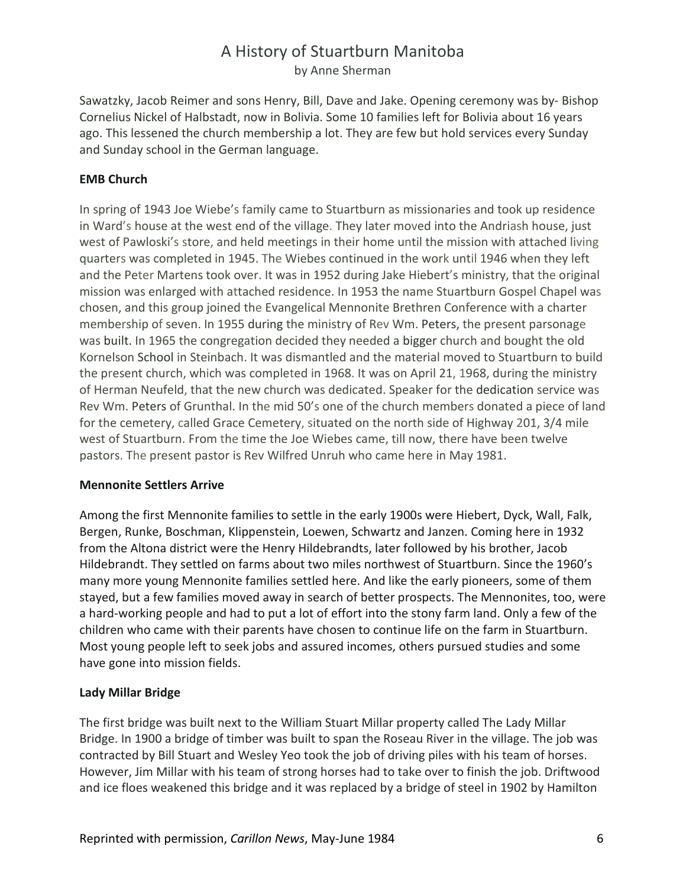Sawatzky, Jacob Reimer and sons Henry, Bill, Dave and Jake. Opening ceremony was by- Bishop Cornelius Nickel of Halbstadt, now in Bolivia. Some 10 families left for Bolivia about 16 years ago. This lessened the church membership a lot. They are few but hold services every Sunday and Sunday school in the German language.

#### **EMB Church**

In spring of 1943 Joe Wiebe's family came to Stuartburn as missionaries and took up residence in Ward's house at the west end of the village. They later moved into the Andriash house, just west of Pawloski's store, and held meetings in their home until the mission with attached living quarters was completed in 1945. The Wiebes continued in the work until 1946 when they left and the Peter Martens took over. It was in 1952 during Jake Hiebert's ministry, that the original mission was enlarged with attached residence. In 1953 the name Stuartburn Gospel Chapel was chosen, and this group joined the Evangelical Mennonite Brethren Conference with a charter membership of seven. In 1955 during the ministry of Rev Wm. Peters, the present parsonage was built. In 1965 the congregation decided they needed a bigger church and bought the old Kornelson School in Steinbach. It was dismantled and the material moved to Stuartburn to build the present church, which was completed in 1968. It was on April 21, 1968, during the ministry of Herman Neufeld, that the new church was dedicated. Speaker for the dedication service was Rev Wm. Peters of Grunthal. In the mid 50's one of the church members donated a piece of land for the cemetery, called Grace Cemetery, situated on the north side of Highway 201, 3/4 mile west of Stuartburn. From the time the Joe Wiebes came, till now, there have been twelve pastors. The present pastor is Rev Wilfred Unruh who came here in May 1981.

#### **Mennonite Settlers Arrive**

Among the first Mennonite families to settle in the early 1900s were Hiebert, Dyck, Wall, Falk, Bergen, Runke, Boschman, Klippenstein, Loewen, Schwartz and Janzen. Coming here in 1932 from the Altona district were the Henry Hildebrandts, later followed by his brother, Jacob Hildebrandt. They settled on farms about two miles northwest of Stuartburn. Since the 1960's many more young Mennonite families settled here. And like the early pioneers, some of them stayed, but a few families moved away in search of better prospects. The Mennonites, too, were a hard-working people and had to put a lot of effort into the stony farm land. Only a few of the children who came with their parents have chosen to continue life on the farm in Stuartburn. Most young people left to seek jobs and assured incomes, others pursued studies and some have gone into mission fields.

#### **Lady Millar Bridge**

The first bridge was built next to the William Stuart Millar property called The Lady Millar Bridge. In 1900 a bridge of timber was built to span the Roseau River in the village. The job was contracted by Bill Stuart and Wesley Yeo took the job of driving piles with his team of horses. However, Jim Millar with his team of strong horses had to take over to finish the job. Driftwood and ice floes weakened this bridge and it was replaced by a bridge of steel in 1902 by Hamilton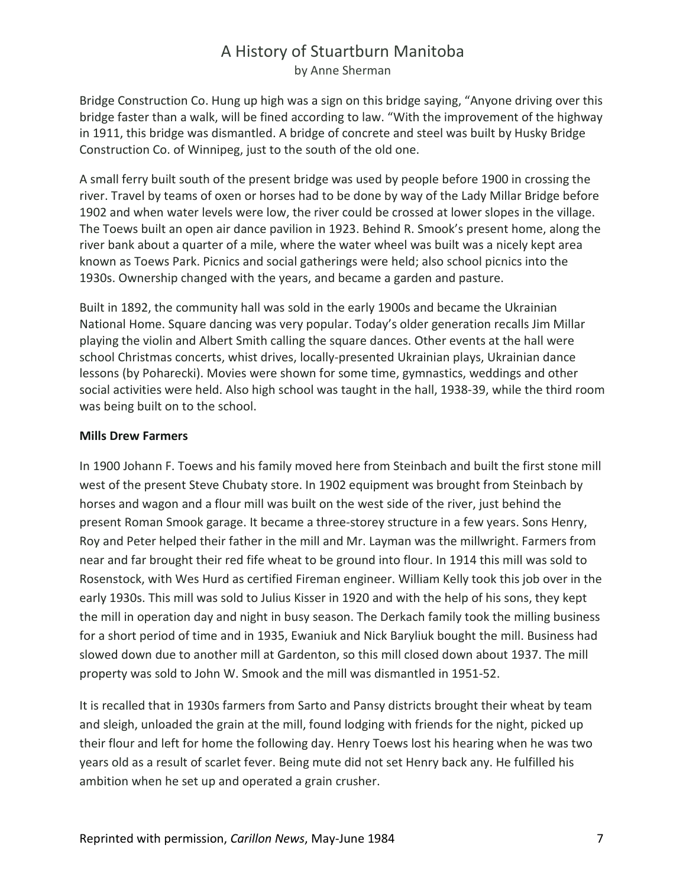Bridge Construction Co. Hung up high was a sign on this bridge saying, "Anyone driving over this bridge faster than a walk, will be fined according to law. "With the improvement of the highway in 1911, this bridge was dismantled. A bridge of concrete and steel was built by Husky Bridge Construction Co. of Winnipeg, just to the south of the old one.

A small ferry built south of the present bridge was used by people before 1900 in crossing the river. Travel by teams of oxen or horses had to be done by way of the Lady Millar Bridge before 1902 and when water levels were low, the river could be crossed at lower slopes in the village. The Toews built an open air dance pavilion in 1923. Behind R. Smook's present home, along the river bank about a quarter of a mile, where the water wheel was built was a nicely kept area known as Toews Park. Picnics and social gatherings were held; also school picnics into the 1930s. Ownership changed with the years, and became a garden and pasture.

Built in 1892, the community hall was sold in the early 1900s and became the Ukrainian National Home. Square dancing was very popular. Today's older generation recalls Jim Millar playing the violin and Albert Smith calling the square dances. Other events at the hall were school Christmas concerts, whist drives, locally-presented Ukrainian plays, Ukrainian dance lessons (by Poharecki). Movies were shown for some time, gymnastics, weddings and other social activities were held. Also high school was taught in the hall, 1938-39, while the third room was being built on to the school.

#### **Mills Drew Farmers**

In 1900 Johann F. Toews and his family moved here from Steinbach and built the first stone mill west of the present Steve Chubaty store. In 1902 equipment was brought from Steinbach by horses and wagon and a flour mill was built on the west side of the river, just behind the present Roman Smook garage. It became a three-storey structure in a few years. Sons Henry, Roy and Peter helped their father in the mill and Mr. Layman was the millwright. Farmers from near and far brought their red fife wheat to be ground into flour. In 1914 this mill was sold to Rosenstock, with Wes Hurd as certified Fireman engineer. William Kelly took this job over in the early 1930s. This mill was sold to Julius Kisser in 1920 and with the help of his sons, they kept the mill in operation day and night in busy season. The Derkach family took the milling business for a short period of time and in 1935, Ewaniuk and Nick Baryliuk bought the mill. Business had slowed down due to another mill at Gardenton, so this mill closed down about 1937. The mill property was sold to John W. Smook and the mill was dismantled in 1951-52.

It is recalled that in 1930s farmers from Sarto and Pansy districts brought their wheat by team and sleigh, unloaded the grain at the mill, found lodging with friends for the night, picked up their flour and left for home the following day. Henry Toews lost his hearing when he was two years old as a result of scarlet fever. Being mute did not set Henry back any. He fulfilled his ambition when he set up and operated a grain crusher.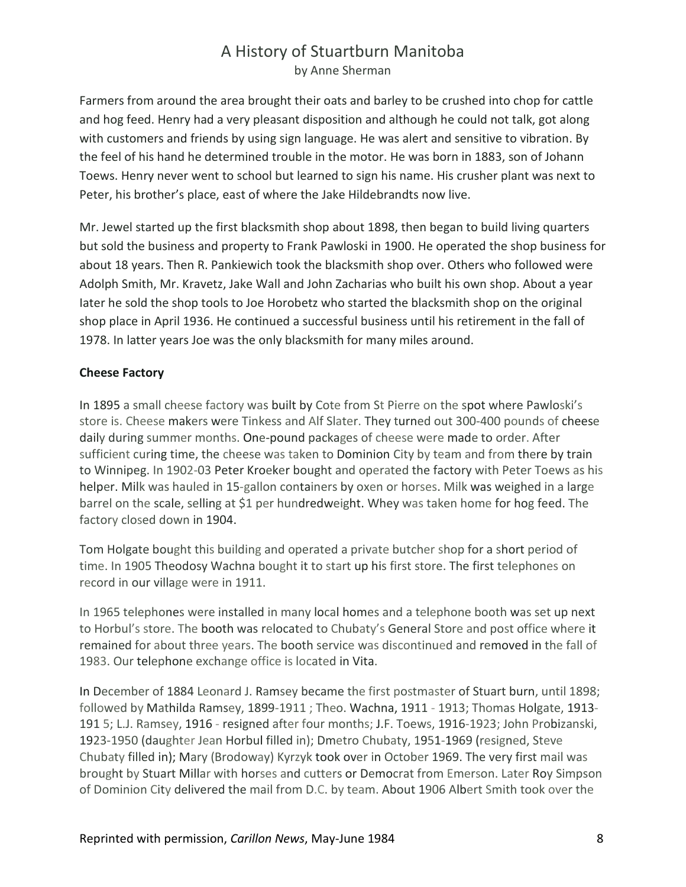Farmers from around the area brought their oats and barley to be crushed into chop for cattle and hog feed. Henry had a very pleasant disposition and although he could not talk, got along with customers and friends by using sign language. He was alert and sensitive to vibration. By the feel of his hand he determined trouble in the motor. He was born in 1883, son of Johann Toews. Henry never went to school but learned to sign his name. His crusher plant was next to Peter, his brother's place, east of where the Jake Hildebrandts now live.

Mr. Jewel started up the first blacksmith shop about 1898, then began to build living quarters but sold the business and property to Frank Pawloski in 1900. He operated the shop business for about 18 years. Then R. Pankiewich took the blacksmith shop over. Others who followed were Adolph Smith, Mr. Kravetz, Jake Wall and John Zacharias who built his own shop. About a year Iater he sold the shop tools to Joe Horobetz who started the blacksmith shop on the original shop place in April 1936. He continued a successful business until his retirement in the fall of 1978. In latter years Joe was the only blacksmith for many miles around.

#### **Cheese Factory**

In 1895 a small cheese factory was built by Cote from St Pierre on the spot where Pawloski's store is. Cheese makers were Tinkess and Alf Slater. They turned out 300-400 pounds of cheese daily during summer months. One-pound packages of cheese were made to order. After sufficient curing time, the cheese was taken to Dominion City by team and from there by train to Winnipeg. In 1902-03 Peter Kroeker bought and operated the factory with Peter Toews as his helper. Milk was hauled in 15-gallon containers by oxen or horses. Milk was weighed in a large barrel on the scale, selling at \$1 per hundredweight. Whey was taken home for hog feed. The factory closed down in 1904.

Tom Holgate bought this building and operated a private butcher shop for a short period of time. In 1905 Theodosy Wachna bought it to start up his first store. The first telephones on record in our village were in 1911.

In 1965 telephones were installed in many local homes and a telephone booth was set up next to Horbul's store. The booth was relocated to Chubaty's General Store and post office where it remained for about three years. The booth service was discontinued and removed in the fall of 1983. Our telephone exchange office is located in Vita.

In December of 1884 Leonard J. Ramsey became the first postmaster of Stuart burn, until 1898; followed by Mathilda Ramsey, 1899-1911 ; Theo. Wachna, 1911 - 1913; Thomas Holgate, 1913- 191 5; L.J. Ramsey, 1916 - resigned after four months; J.F. Toews, 1916-1923; John Probizanski, 1923-1950 (daughter Jean Horbul filled in); Dmetro Chubaty, 1951-1969 (resigned, Steve Chubaty filled in); Mary (Brodoway) Kyrzyk took over in October 1969. The very first mail was brought by Stuart Millar with horses and cutters or Democrat from Emerson. Later Roy Simpson of Dominion City delivered the mail from D.C. by team. About 1906 Albert Smith took over the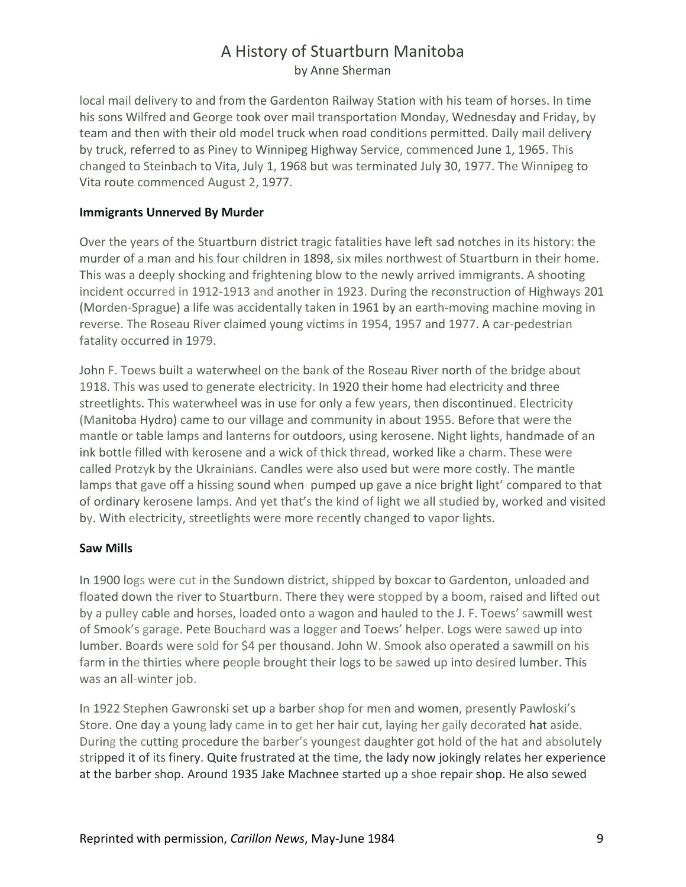local mail delivery to and from the Gardenton Railway Station with his team of horses. In time his sons Wilfred and George took over mail transportation Monday, Wednesday and Friday, by team and then with their old model truck when road conditions permitted. Daily mail delivery by truck, referred to as Piney to Winnipeg Highway Service, commenced June 1, 1965. This changed to Steinbach to Vita, July 1, 1968 but was terminated July 30, 1977. The Winnipeg to Vita route commenced August 2, 1977.

#### **Immigrants Unnerved By Murder**

Over the years of the Stuartburn district tragic fatalities have left sad notches in its history: the murder of a man and his four children in 1898, six miles northwest of Stuartburn in their home. This was a deeply shocking and frightening blow to the newly arrived immigrants. A shooting incident occurred in 1912-1913 and another in 1923. During the reconstruction of Highways 201 (Morden-Sprague) a life was accidentally taken in 1961 by an earth-moving machine moving in reverse. The Roseau River claimed young victims in 1954, 1957 and 1977. A car-pedestrian fatality occurred in 1979.

John F. Toews built a waterwheel on the bank of the Roseau River north of the bridge about 1918. This was used to generate electricity. In 1920 their home had electricity and three streetlights. This waterwheel was in use for only a few years, then discontinued. Electricity (Manitoba Hydro) came to our village and community in about 1955. Before that were the mantle or table lamps and lanterns for outdoors, using kerosene. Night lights, handmade of an ink bottle filled with kerosene and a wick of thick thread, worked like a charm. These were called Protzyk by the Ukrainians. Candles were also used but were more costly. The mantle lamps that gave off a hissing sound when pumped up gave a nice bright light' compared to that of ordinary kerosene lamps. And yet that's the kind of light we all studied by, worked and visited by. With electricity, streetlights were more recently changed to vapor lights.

#### **Saw Mills**

In 1900 logs were cut in the Sundown district, shipped by boxcar to Gardenton, unloaded and floated down the river to Stuartburn. There they were stopped by a boom, raised and lifted out by a pulley cable and horses, loaded onto a wagon and hauled to the J. F. Toews' sawmill west of Smook's garage. Pete Bouchard was a logger and Toews' helper. Logs were sawed up into lumber. Boards were sold for \$4 per thousand. John W. Smook also operated a sawmill on his farm in the thirties where people brought their logs to be sawed up into desired lumber. This was an all-winter job.

In 1922 Stephen Gawronski set up a barber shop for men and women, presently Pawloski's Store. One day a young lady came in to get her hair cut, laying her gaily decorated hat aside. During the cutting procedure the barber's youngest daughter got hold of the hat and absolutely stripped it of its finery. Quite frustrated at the time, the lady now jokingly relates her experience at the barber shop. Around 1935 Jake Machnee started up a shoe repair shop. He also sewed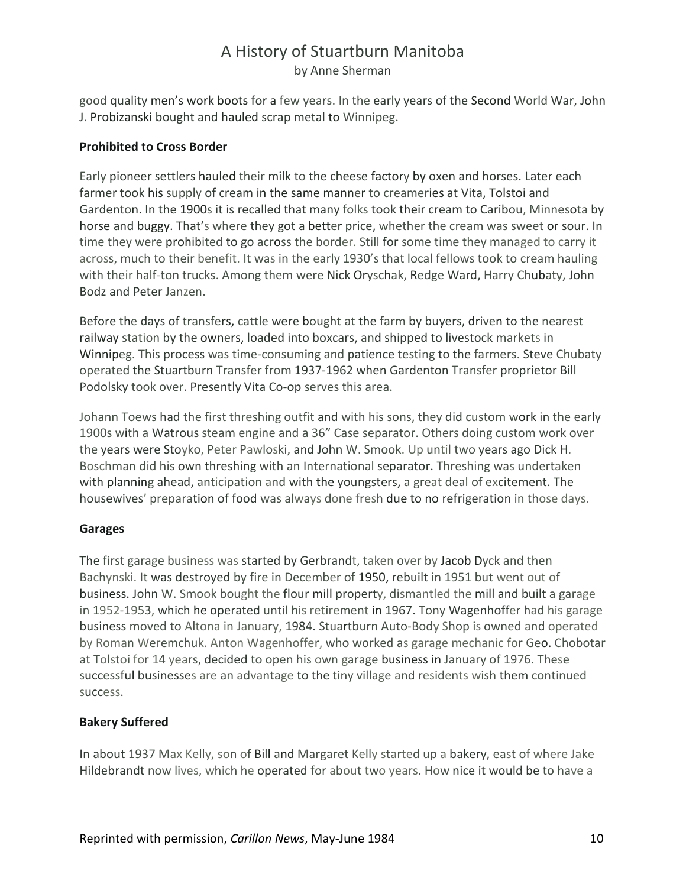good quality men's work boots for a few years. In the early years of the Second World War, John J. Probizanski bought and hauled scrap metal to Winnipeg.

#### **Prohibited to Cross Border**

Early pioneer settlers hauled their milk to the cheese factory by oxen and horses. Later each farmer took his supply of cream in the same manner to creameries at Vita, Tolstoi and Gardenton. In the 1900s it is recalled that many folks took their cream to Caribou, Minnesota by horse and buggy. That's where they got a better price, whether the cream was sweet or sour. In time they were prohibited to go across the border. Still for some time they managed to carry it across, much to their benefit. It was in the early 1930's that local fellows took to cream hauling with their half-ton trucks. Among them were Nick Oryschak, Redge Ward, Harry Chubaty, John Bodz and Peter Janzen.

Before the days of transfers, cattle were bought at the farm by buyers, driven to the nearest railway station by the owners, loaded into boxcars, and shipped to livestock markets in Winnipeg. This process was time-consuming and patience testing to the farmers. Steve Chubaty operated the Stuartburn Transfer from 1937-1962 when Gardenton Transfer proprietor Bill Podolsky took over. Presently Vita Co-op serves this area.

Johann Toews had the first threshing outfit and with his sons, they did custom work in the early 1900s with a Watrous steam engine and a 36" Case separator. Others doing custom work over the years were Stoyko, Peter Pawloski, and John W. Smook. Up until two years ago Dick H. Boschman did his own threshing with an International separator. Threshing was undertaken with planning ahead, anticipation and with the youngsters, a great deal of excitement. The housewives' preparation of food was always done fresh due to no refrigeration in those days.

#### **Garages**

The first garage business was started by Gerbrandt, taken over by Jacob Dyck and then Bachynski. It was destroyed by fire in December of 1950, rebuilt in 1951 but went out of business. John W. Smook bought the flour mill property, dismantled the mill and built a garage in 1952-1953, which he operated until his retirement in 1967. Tony Wagenhoffer had his garage business moved to Altona in January, 1984. Stuartburn Auto-Body Shop is owned and operated by Roman Weremchuk. Anton Wagenhoffer, who worked as garage mechanic for Geo. Chobotar at Tolstoi for 14 years, decided to open his own garage business in January of 1976. These successful businesses are an advantage to the tiny village and residents wish them continued success.

### **Bakery Suffered**

In about 1937 Max Kelly, son of Bill and Margaret Kelly started up a bakery, east of where Jake Hildebrandt now lives, which he operated for about two years. How nice it would be to have a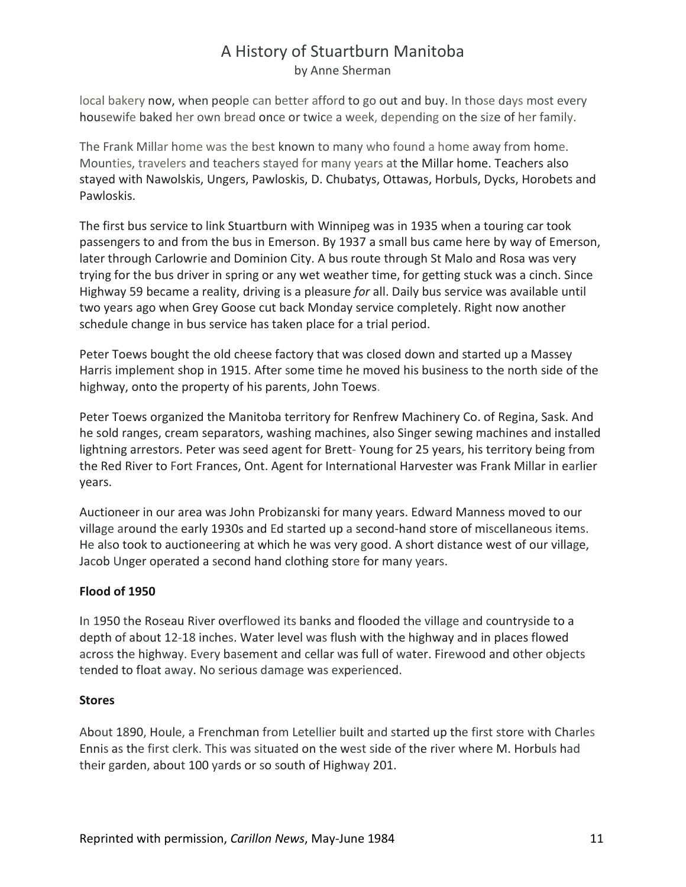local bakery now, when people can better afford to go out and buy. In those days most every housewife baked her own bread once or twice a week, depending on the size of her family.

The Frank Millar home was the best known to many who found a home away from home. Mounties, travelers and teachers stayed for many years at the Millar home. Teachers also stayed with Nawolskis, Ungers, Pawloskis, D. Chubatys, Ottawas, Horbuls, Dycks, Horobets and Pawloskis.

The first bus service to link Stuartburn with Winnipeg was in 1935 when a touring car took passengers to and from the bus in Emerson. By 1937 a small bus came here by way of Emerson, later through Carlowrie and Dominion City. A bus route through St Malo and Rosa was very trying for the bus driver in spring or any wet weather time, for getting stuck was a cinch. Since Highway 59 became a reality, driving is a pleasure *for* all. Daily bus service was available until two years ago when Grey Goose cut back Monday service completely. Right now another schedule change in bus service has taken place for a trial period.

Peter Toews bought the old cheese factory that was closed down and started up a Massey Harris implement shop in 1915. After some time he moved his business to the north side of the highway, onto the property of his parents, John Toews.

Peter Toews organized the Manitoba territory for Renfrew Machinery Co. of Regina, Sask. And he sold ranges, cream separators, washing machines, also Singer sewing machines and installed lightning arrestors. Peter was seed agent for Brett- Young for 25 years, his territory being from the Red River to Fort Frances, Ont. Agent for International Harvester was Frank Millar in earlier years.

Auctioneer in our area was John Probizanski for many years. Edward Manness moved to our village around the early 1930s and Ed started up a second-hand store of miscellaneous items. He also took to auctioneering at which he was very good. A short distance west of our village, Jacob Unger operated a second hand clothing store for many years.

#### **Flood of 1950**

In 1950 the Roseau River overflowed its banks and flooded the village and countryside to a depth of about 12-18 inches. Water level was flush with the highway and in places flowed across the highway. Every basement and cellar was full of water. Firewood and other objects tended to float away. No serious damage was experienced.

#### **Stores**

About 1890, Houle, a Frenchman from Letellier built and started up the first store with Charles Ennis as the first clerk. This was situated on the west side of the river where M. Horbuls had their garden, about 100 yards or so south of Highway 201.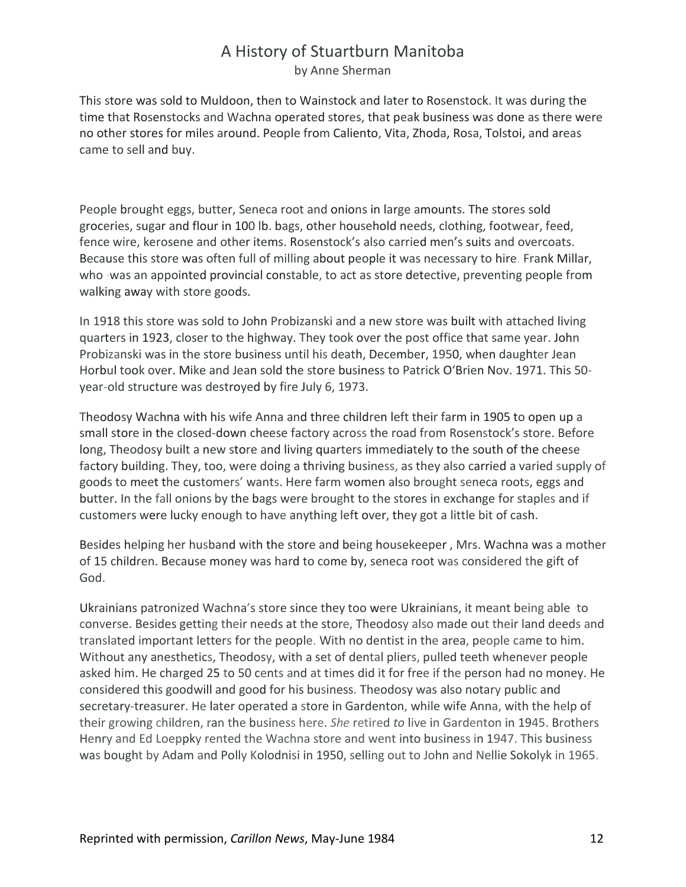This store was sold to Muldoon, then to Wainstock and later to Rosenstock. It was during the time that Rosenstocks and Wachna operated stores, that peak business was done as there were no other stores for miles around. People from Caliento, Vita, Zhoda, Rosa, Tolstoi, and areas came to sell and buy.

People brought eggs, butter, Seneca root and onions in large amounts. The stores sold groceries, sugar and flour in 100 lb. bags, other household needs, clothing, footwear, feed, fence wire, kerosene and other items. Rosenstock's also carried men's suits and overcoats. Because this store was often full of milling about people it was necessary to hire. Frank Millar, who ·was an appointed provincial constable, to act as store detective, preventing people from walking away with store goods.

In 1918 this store was sold to John Probizanski and a new store was built with attached living quarters in 1923, closer to the highway. They took over the post office that same year. John Probizanski was in the store business until his death, December, 1950, when daughter Jean Horbul took over. Mike and Jean sold the store business to Patrick O'Brien Nov. 1971. This 50 year-old structure was destroyed by fire July 6, 1973.

Theodosy Wachna with his wife Anna and three children left their farm in 1905 to open up a small store in the closed-down cheese factory across the road from Rosenstock's store. Before long, Theodosy built a new store and living quarters immediately to the south of the cheese factory building. They, too, were doing a thriving business, as they also carried a varied supply of goods to meet the customers' wants. Here farm women also brought seneca roots, eggs and butter. In the fall onions by the bags were brought to the stores in exchange for staples and if customers were lucky enough to have anything left over, they got a little bit of cash.

Besides helping her husband with the store and being housekeeper , Mrs. Wachna was a mother of 15 children. Because money was hard to come by, seneca root was considered the gift of God.

Ukrainians patronized Wachna's store since they too were Ukrainians, it meant being able ·to converse. Besides getting their needs at the store, Theodosy also made out their land deeds and translated important letters for the people. With no dentist in the area, people came to him. Without any anesthetics, Theodosy, with a set of dental pliers, pulled teeth whenever people asked him. He charged 25 to 50 cents and at times did it for free if the person had no money. He considered this goodwill and good for his business. Theodosy was also notary public and secretary-treasurer. He later operated a store in Gardenton, while wife Anna, with the help of their growing children, ran the business here. *She* retired *to* live in Gardenton in 1945. Brothers Henry and Ed Loeppky rented the Wachna store and went into business in 1947. This business was bought by Adam and Polly Kolodnisi in 1950, selling out to John and Nellie Sokolyk in 1965.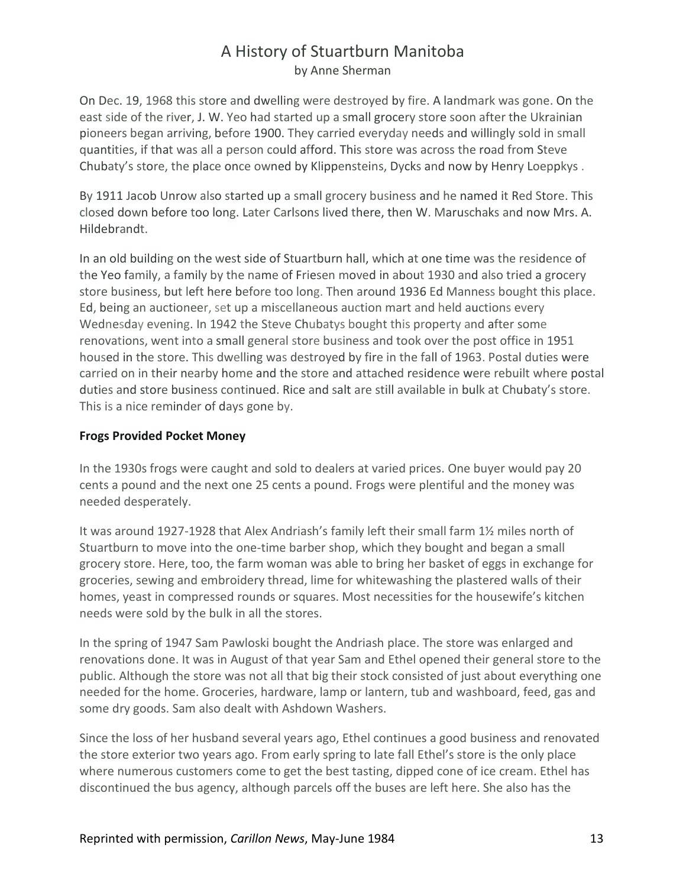On Dec. 19, 1968 this store and dwelling were destroyed by fire. A landmark was gone. On the east side of the river, J. W. Yeo had started up a small grocery store soon after the Ukrainian pioneers began arriving, before 1900. They carried everyday needs and willingly sold in small quantities, if that was all a person could afford. This store was across the road from Steve Chubaty's store, the place once owned by Klippensteins, Dycks and now by Henry Loeppkys .

By 1911 Jacob Unrow also started up a small grocery business and he named it Red Store. This closed down before too long. Later Carlsons lived there, then W. Maruschaks and now Mrs. A. Hildebrandt.

In an old building on the west side of Stuartburn hall, which at one time was the residence of the Yeo family, a family by the name of Friesen moved in about 1930 and also tried a grocery store business, but left here before too long. Then around 1936 Ed Manness bought this place. Ed, being an auctioneer, set up a miscellaneous auction mart and held auctions every Wednesday evening. In 1942 the Steve Chubatys bought this property and after some renovations, went into a small general store business and took over the post office in 1951 housed in the store. This dwelling was destroyed by fire in the fall of 1963. Postal duties were carried on in their nearby home and the store and attached residence were rebuilt where postal duties and store business continued. Rice and salt are still available in bulk at Chubaty's store. This is a nice reminder of days gone by.

#### **Frogs Provided Pocket Money**

In the 1930s frogs were caught and sold to dealers at varied prices. One buyer would pay 20 cents a pound and the next one 25 cents a pound. Frogs were plentiful and the money was needed desperately.

It was around 1927-1928 that Alex Andriash's family left their small farm 1½ miles north of Stuartburn to move into the one-time barber shop, which they bought and began a small grocery store. Here, too, the farm woman was able to bring her basket of eggs in exchange for groceries, sewing and embroidery thread, lime for whitewashing the plastered walls of their homes, yeast in compressed rounds or squares. Most necessities for the housewife's kitchen needs were sold by the bulk in all the stores.

In the spring of 1947 Sam Pawloski bought the Andriash place. The store was enlarged and renovations done. It was in August of that year Sam and Ethel opened their general store to the public. Although the store was not all that big their stock consisted of just about everything one needed for the home. Groceries, hardware, lamp or lantern, tub and washboard, feed, gas and some dry goods. Sam also dealt with Ashdown Washers.

Since the loss of her husband several years ago, Ethel continues a good business and renovated the store exterior two years ago. From early spring to late fall Ethel's store is the only place where numerous customers come to get the best tasting, dipped cone of ice cream. Ethel has discontinued the bus agency, although parcels off the buses are left here. She also has the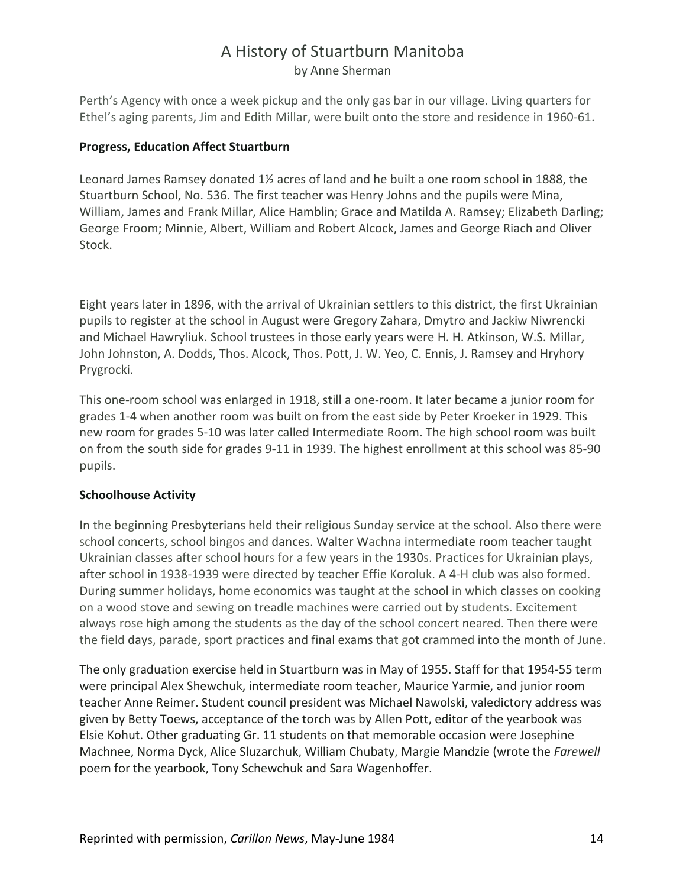Perth's Agency with once a week pickup and the only gas bar in our village. Living quarters for Ethel's aging parents, Jim and Edith Millar, were built onto the store and residence in 1960-61.

#### **Progress, Education Affect Stuartburn**

Leonard James Ramsey donated 1½ acres of land and he built a one room school in 1888, the Stuartburn School, No. 536. The first teacher was Henry Johns and the pupils were Mina, William, James and Frank Millar, Alice Hamblin; Grace and Matilda A. Ramsey; Elizabeth Darling; George Froom; Minnie, Albert, William and Robert Alcock, James and George Riach and Oliver Stock.

Eight years later in 1896, with the arrival of Ukrainian settlers to this district, the first Ukrainian pupils to register at the school in August were Gregory Zahara, Dmytro and Jackiw Niwrencki and Michael Hawryliuk. School trustees in those early years were H. H. Atkinson, W.S. Millar, John Johnston, A. Dodds, Thos. Alcock, Thos. Pott, J. W. Yeo, C. Ennis, J. Ramsey and Hryhory Prygrocki.

This one-room school was enlarged in 1918, still a one-room. It later became a junior room for grades 1-4 when another room was built on from the east side by Peter Kroeker in 1929. This new room for grades 5-10 was later called Intermediate Room. The high school room was built on from the south side for grades 9-11 in 1939. The highest enrollment at this school was 85-90 pupils.

#### **Schoolhouse Activity**

In the beginning Presbyterians held their religious Sunday service at the school. Also there were school concerts, school bingos and dances. Walter Wachna intermediate room teacher taught Ukrainian classes after school hours for a few years in the 1930s. Practices for Ukrainian plays, after school in 1938-1939 were directed by teacher Effie Koroluk. A 4-H club was also formed. During summer holidays, home economics was taught at the school in which classes on cooking on a wood stove and sewing on treadle machines were carried out by students. Excitement always rose high among the students as the day of the school concert neared. Then there were the field days, parade, sport practices and final exams that got crammed into the month of June.

The only graduation exercise held in Stuartburn was in May of 1955. Staff for that 1954-55 term were principal Alex Shewchuk, intermediate room teacher, Maurice Yarmie, and junior room teacher Anne Reimer. Student council president was Michael Nawolski, valedictory address was given by Betty Toews, acceptance of the torch was by Allen Pott, editor of the yearbook was Elsie Kohut. Other graduating Gr. 11 students on that memorable occasion were Josephine Machnee, Norma Dyck, Alice Sluzarchuk, William Chubaty, Margie Mandzie (wrote the *Farewell*  poem for the yearbook, Tony Schewchuk and Sara Wagenhoffer.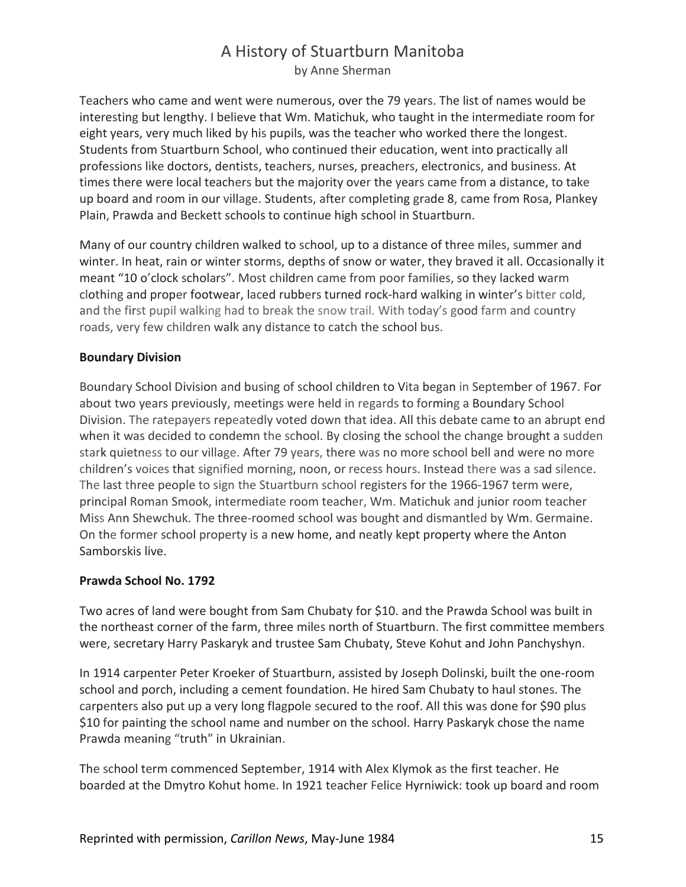Teachers who came and went were numerous, over the 79 years. The list of names would be interesting but lengthy. I believe that Wm. Matichuk, who taught in the intermediate room for eight years, very much liked by his pupils, was the teacher who worked there the longest. Students from Stuartburn School, who continued their education, went into practically all professions like doctors, dentists, teachers, nurses, preachers, electronics, and business. At times there were local teachers but the majority over the years came from a distance, to take up board and room in our village. Students, after completing grade 8, came from Rosa, Plankey Plain, Prawda and Beckett schools to continue high school in Stuartburn.

Many of our country children walked to school, up to a distance of three miles, summer and winter. In heat, rain or winter storms, depths of snow or water, they braved it all. Occasionally it meant "10 o'clock scholars". Most children came from poor families, so they lacked warm clothing and proper footwear, laced rubbers turned rock-hard walking in winter's bitter cold, and the first pupil walking had to break the snow trail. With today's good farm and country roads, very few children walk any distance to catch the school bus.

#### **Boundary Division**

Boundary School Division and busing of school children to Vita began in September of 1967. For about two years previously, meetings were held in regards to forming a Boundary School Division. The ratepayers repeatedly voted down that idea. All this debate came to an abrupt end when it was decided to condemn the school. By closing the school the change brought a sudden stark quietness to our village. After 79 years, there was no more school bell and were no more children's voices that signified morning, noon, or recess hours. Instead there was a sad silence. The last three people to sign the Stuartburn school registers for the 1966-1967 term were, principal Roman Smook, intermediate room teacher, Wm. Matichuk and junior room teacher Miss Ann Shewchuk. The three-roomed school was bought and dismantled by Wm. Germaine. On the former school property is a new home, and neatly kept property where the Anton Samborskis live.

#### **Prawda School No. 1792**

Two acres of land were bought from Sam Chubaty for \$10. and the Prawda School was built in the northeast corner of the farm, three miles north of Stuartburn. The first committee members were, secretary Harry Paskaryk and trustee Sam Chubaty, Steve Kohut and John Panchyshyn.

In 1914 carpenter Peter Kroeker of Stuartburn, assisted by Joseph Dolinski, built the one-room school and porch, including a cement foundation. He hired Sam Chubaty to haul stones. The carpenters also put up a very long flagpole secured to the roof. All this was done for \$90 plus \$10 for painting the school name and number on the school. Harry Paskaryk chose the name Prawda meaning "truth" in Ukrainian.

The school term commenced September, 1914 with Alex Klymok as the first teacher. He boarded at the Dmytro Kohut home. In 1921 teacher Felice Hyrniwick: took up board and room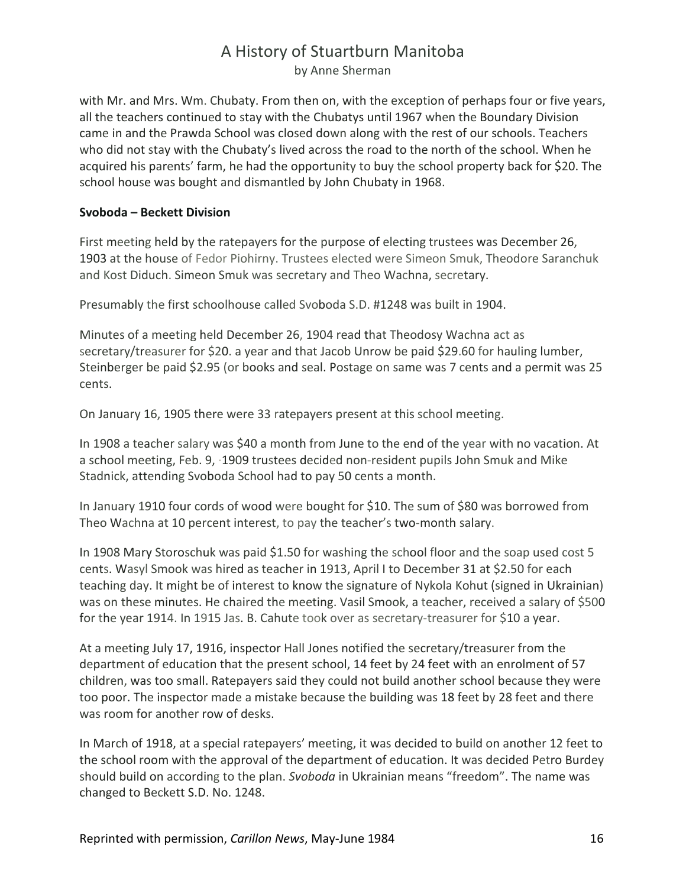# A History of Stuartburn Manitoba

by Anne Sherman

with Mr. and Mrs. Wm. Chubaty. From then on, with the exception of perhaps four or five years, all the teachers continued to stay with the Chubatys until 1967 when the Boundary Division came in and the Prawda School was closed down along with the rest of our schools. Teachers who did not stay with the Chubaty's lived across the road to the north of the school. When he acquired his parents' farm, he had the opportunity to buy the school property back for \$20. The school house was bought and dismantled by John Chubaty in 1968.

#### **Svoboda – Beckett Division**

First meeting held by the ratepayers for the purpose of electing trustees was December 26, 1903 at the house of Fedor Piohirny. Trustees elected were Simeon Smuk, Theodore Saranchuk and Kost Diduch. Simeon Smuk was secretary and Theo Wachna, secretary.

Presumably the first schoolhouse called Svoboda S.D. #1248 was built in 1904.

Minutes of a meeting held December 26, 1904 read that Theodosy Wachna act as secretary/treasurer for \$20. a year and that Jacob Unrow be paid \$29.60 for hauling lumber, Steinberger be paid \$2.95 (or books and seal. Postage on same was 7 cents and a permit was 25 cents.

On January 16, 1905 there were 33 ratepayers present at this school meeting.

In 1908 a teacher salary was \$40 a month from June to the end of the year with no vacation. At a school meeting, Feb. 9, ·1909 trustees decided non-resident pupils John Smuk and Mike Stadnick, attending Svoboda School had to pay 50 cents a month.

In January 1910 four cords of wood were bought for \$10. The sum of \$80 was borrowed from Theo Wachna at 10 percent interest, to pay the teacher's two-month salary.

In 1908 Mary Storoschuk was paid \$1.50 for washing the school floor and the soap used cost 5 cents. Wasyl Smook was hired as teacher in 1913, April I to December 31 at \$2.50 for each teaching day. It might be of interest to know the signature of Nykola Kohut (signed in Ukrainian) was on these minutes. He chaired the meeting. Vasil Smook, a teacher, received a salary of \$500 for the year 1914. In 1915 Jas. B. Cahute took over as secretary-treasurer for \$10 a year.

At a meeting July 17, 1916, inspector Hall Jones notified the secretary/treasurer from the department of education that the present school, 14 feet by 24 feet with an enrolment of 57 children, was too small. Ratepayers said they could not build another school because they were too poor. The inspector made a mistake because the building was 18 feet by 28 feet and there was room for another row of desks.

In March of 1918, at a special ratepayers' meeting, it was decided to build on another 12 feet to the school room with the approval of the department of education. It was decided Petro Burdey should build on according to the plan. *Svoboda* in Ukrainian means "freedom". The name was changed to Beckett S.D. No. 1248.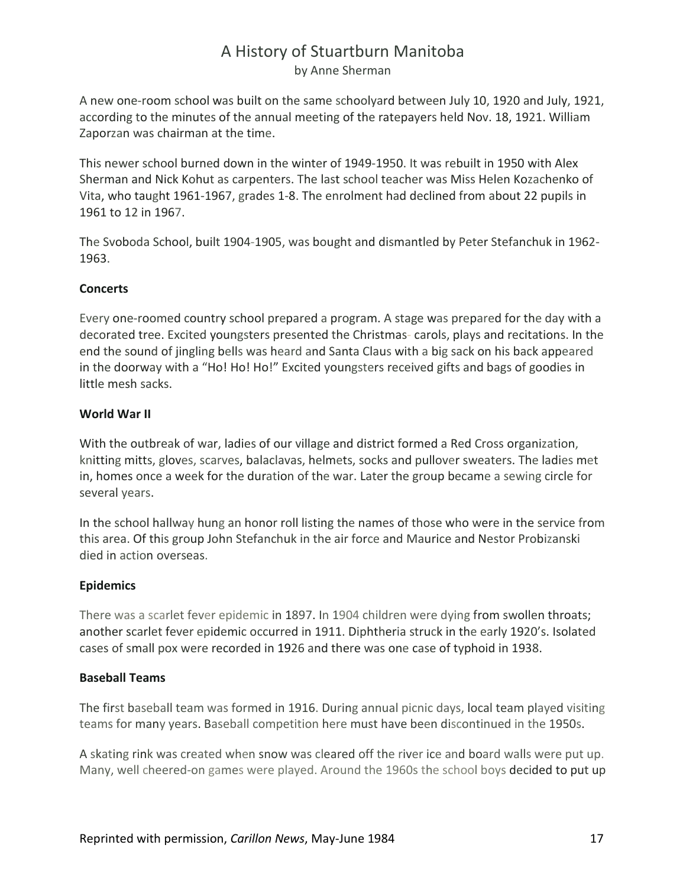A new one-room school was built on the same schoolyard between July 10, 1920 and July, 1921, according to the minutes of the annual meeting of the ratepayers held Nov. 18, 1921. William Zaporzan was chairman at the time.

This newer school burned down in the winter of 1949-1950. It was rebuilt in 1950 with Alex Sherman and Nick Kohut as carpenters. The last school teacher was Miss Helen Kozachenko of Vita, who taught 1961-1967, grades 1-8. The enrolment had declined from about 22 pupils in 1961 to 12 in 1967.

The Svoboda School, built 1904-1905, was bought and dismantled by Peter Stefanchuk in 1962- 1963.

#### **Concerts**

Every one-roomed country school prepared a program. A stage was prepared for the day with a decorated tree. Excited youngsters presented the Christmas- carols, plays and recitations. In the end the sound of jingling bells was heard and Santa Claus with a big sack on his back appeared in the doorway with a "Ho! Ho! Ho!" Excited youngsters received gifts and bags of goodies in little mesh sacks.

#### **World War II**

With the outbreak of war, ladies of our village and district formed a Red Cross organization, knitting mitts, gloves, scarves, balaclavas, helmets, socks and pullover sweaters. The ladies met in, homes once a week for the duration of the war. Later the group became a sewing circle for several years.

In the school hallway hung an honor roll listing the names of those who were in the service from this area. Of this group John Stefanchuk in the air force and Maurice and Nestor Probizanski died in action overseas.

#### **Epidemics**

There was a scarlet fever epidemic in 1897. In 1904 children were dying from swollen throats; another scarlet fever epidemic occurred in 1911. Diphtheria struck in the early 1920's. Isolated cases of small pox were recorded in 1926 and there was one case of typhoid in 1938.

#### **Baseball Teams**

The first baseball team was formed in 1916. During annual picnic days, local team played visiting teams for many years. Baseball competition here must have been discontinued in the 1950s.

A skating rink was created when snow was cleared off the river ice and board walls were put up. Many, well cheered-on games were played. Around the 1960s the school boys decided to put up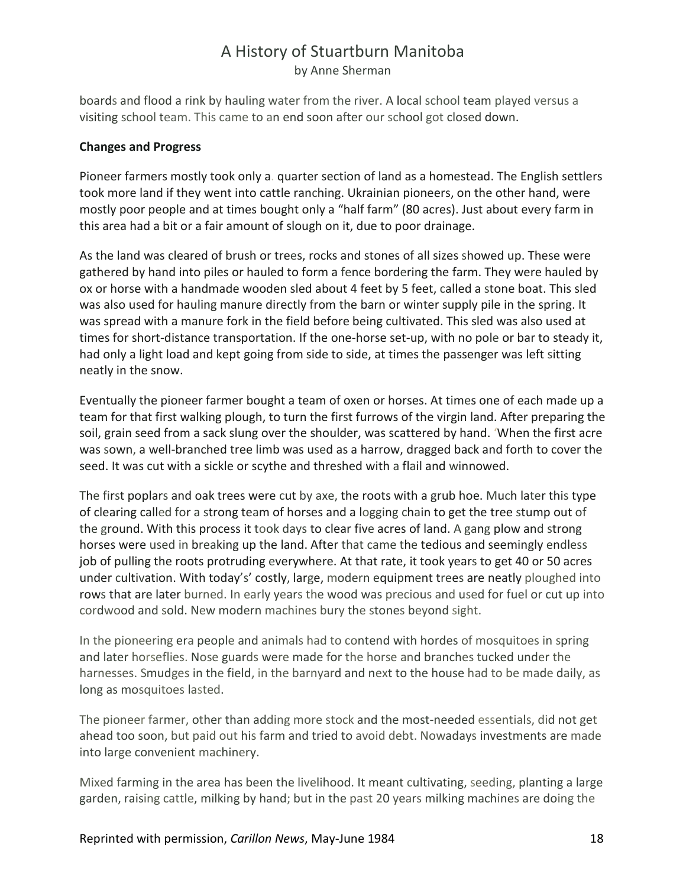boards and flood a rink by hauling water from the river. A local school team played versus a visiting school team. This came to an end soon after our school got closed down.

#### **Changes and Progress**

Pioneer farmers mostly took only a. quarter section of land as a homestead. The English settlers took more land if they went into cattle ranching. Ukrainian pioneers, on the other hand, were mostly poor people and at times bought only a "half farm" (80 acres). Just about every farm in this area had a bit or a fair amount of slough on it, due to poor drainage.

As the land was cleared of brush or trees, rocks and stones of all sizes showed up. These were gathered by hand into piles or hauled to form a fence bordering the farm. They were hauled by ox or horse with a handmade wooden sled about 4 feet by 5 feet, called a stone boat. This sled was also used for hauling manure directly from the barn or winter supply pile in the spring. It was spread with a manure fork in the field before being cultivated. This sled was also used at times for short-distance transportation. If the one-horse set-up, with no pole or bar to steady it, had only a light load and kept going from side to side, at times the passenger was left sitting neatly in the snow.

Eventually the pioneer farmer bought a team of oxen or horses. At times one of each made up a team for that first walking plough, to turn the first furrows of the virgin land. After preparing the soil, grain seed from a sack slung over the shoulder, was scattered by hand. 'When the first acre was sown, a well-branched tree limb was used as a harrow, dragged back and forth to cover the seed. It was cut with a sickle or scythe and threshed with a flail and winnowed.

The first poplars and oak trees were cut by axe, the roots with a grub hoe. Much later this type of clearing called for a strong team of horses and a logging chain to get the tree stump out of the ground. With this process it took days to clear five acres of land. A gang plow and strong horses were used in breaking up the land. After that came the tedious and seemingly endless job of pulling the roots protruding everywhere. At that rate, it took years to get 40 or 50 acres under cultivation. With today's' costly, large, modern equipment trees are neatly ploughed into rows that are later burned. In early years the wood was precious and used for fuel or cut up into cordwood and sold. New modern machines bury the stones beyond sight.

In the pioneering era people and animals had to contend with hordes of mosquitoes in spring and later horseflies. Nose guards were made for the horse and branches tucked under the harnesses. Smudges in the field, in the barnyard and next to the house had to be made daily, as long as mosquitoes lasted.

The pioneer farmer, other than adding more stock and the most-needed essentials, did not get ahead too soon, but paid out his farm and tried to avoid debt. Nowadays investments are made into large convenient machinery.

Mixed farming in the area has been the livelihood. It meant cultivating, seeding, planting a large garden, raising cattle, milking by hand; but in the past 20 years milking machines are doing the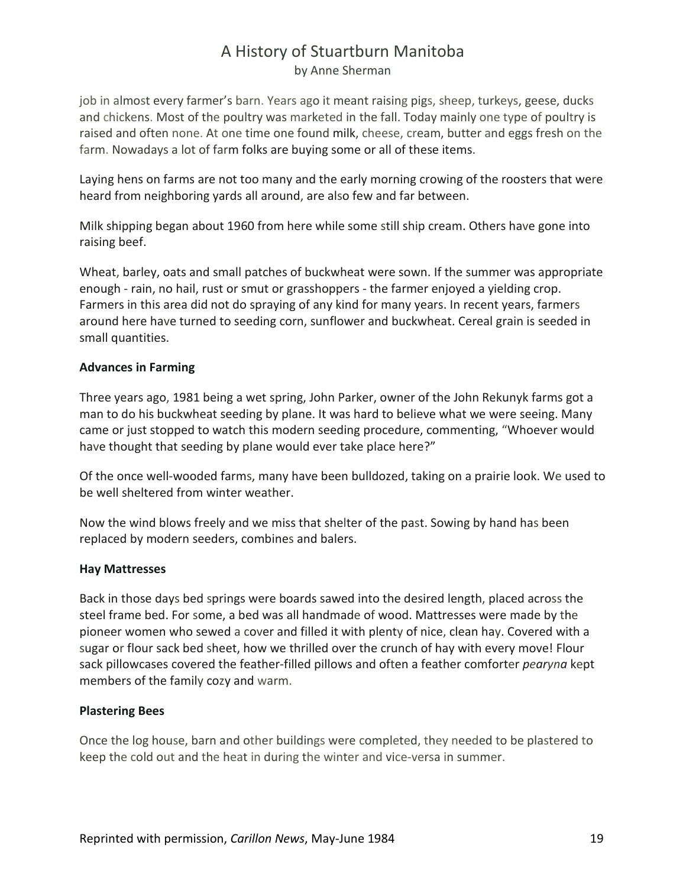job in almost every farmer's barn. Years ago it meant raising pigs, sheep, turkeys, geese, ducks and chickens. Most of the poultry was marketed in the fall. Today mainly one type of poultry is raised and often none. At one time one found milk, cheese, cream, butter and eggs fresh on the farm. Nowadays a lot of farm folks are buying some or all of these items.

Laying hens on farms are not too many and the early morning crowing of the roosters that were heard from neighboring yards all around, are also few and far between.

Milk shipping began about 1960 from here while some still ship cream. Others have gone into raising beef.

Wheat, barley, oats and small patches of buckwheat were sown. If the summer was appropriate enough - rain, no hail, rust or smut or grasshoppers - the farmer enjoyed a yielding crop. Farmers in this area did not do spraying of any kind for many years. In recent years, farmers around here have turned to seeding corn, sunflower and buckwheat. Cereal grain is seeded in small quantities.

#### **Advances in Farming**

Three years ago, 1981 being a wet spring, John Parker, owner of the John Rekunyk farms got a man to do his buckwheat seeding by plane. It was hard to believe what we were seeing. Many came or just stopped to watch this modern seeding procedure, commenting, "Whoever would have thought that seeding by plane would ever take place here?"

Of the once well-wooded farms, many have been bulldozed, taking on a prairie look. We used to be well sheltered from winter weather.

Now the wind blows freely and we miss that shelter of the past. Sowing by hand has been replaced by modern seeders, combines and balers.

#### **Hay Mattresses**

Back in those days bed springs were boards sawed into the desired length, placed across the steel frame bed. For some, a bed was all handmade of wood. Mattresses were made by the pioneer women who sewed a cover and filled it with plenty of nice, clean hay. Covered with a sugar or flour sack bed sheet, how we thrilled over the crunch of hay with every move! Flour sack pillowcases covered the feather-filled pillows and often a feather comforter *pearyna* kept members of the family cozy and warm.

#### **Plastering Bees**

Once the log house, barn and other buildings were completed, they needed to be plastered to keep the cold out and the heat in during the winter and vice-versa in summer.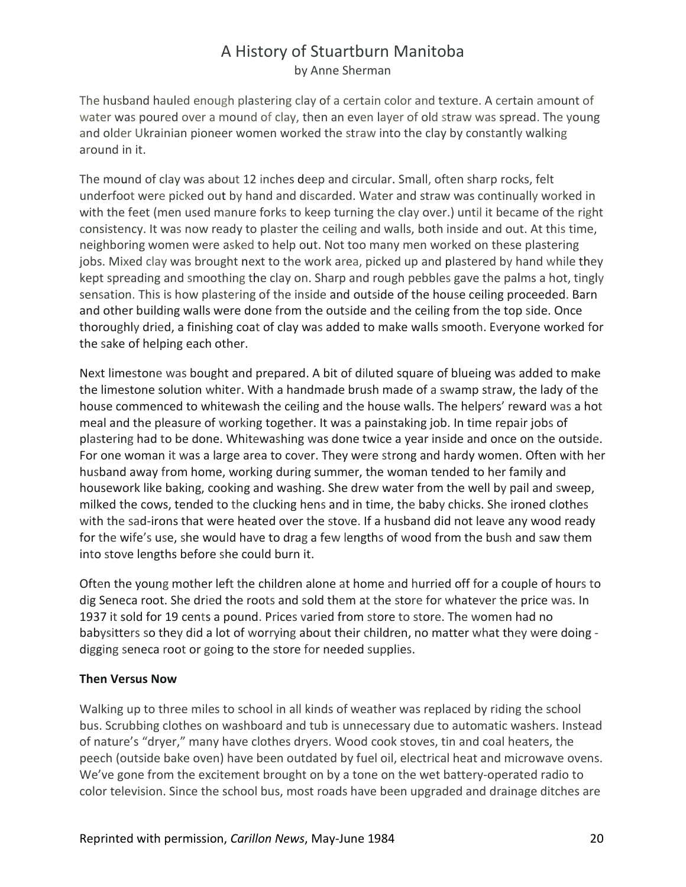The husband hauled enough plastering clay of a certain color and texture. A certain amount of water was poured over a mound of clay, then an even layer of old straw was spread. The young and older Ukrainian pioneer women worked the straw into the clay by constantly walking around in it.

The mound of clay was about 12 inches deep and circular. Small, often sharp rocks, felt underfoot were picked out by hand and discarded. Water and straw was continually worked in with the feet (men used manure forks to keep turning the clay over.) until it became of the right consistency. It was now ready to plaster the ceiling and walls, both inside and out. At this time, neighboring women were asked to help out. Not too many men worked on these plastering jobs. Mixed clay was brought next to the work area, picked up and plastered by hand while they kept spreading and smoothing the clay on. Sharp and rough pebbles gave the palms a hot, tingly sensation. This is how plastering of the inside and outside of the house ceiling proceeded. Barn and other building walls were done from the outside and the ceiling from the top side. Once thoroughly dried, a finishing coat of clay was added to make walls smooth. Everyone worked for the sake of helping each other.

Next limestone was bought and prepared. A bit of diluted square of blueing was added to make the limestone solution whiter. With a handmade brush made of a swamp straw, the lady of the house commenced to whitewash the ceiling and the house walls. The helpers' reward was a hot meal and the pleasure of working together. It was a painstaking job. In time repair jobs of plastering had to be done. Whitewashing was done twice a year inside and once on the outside. For one woman it was a large area to cover. They were strong and hardy women. Often with her husband away from home, working during summer, the woman tended to her family and housework like baking, cooking and washing. She drew water from the well by pail and sweep, milked the cows, tended to the clucking hens and in time, the baby chicks. She ironed clothes with the sad-irons that were heated over the stove. If a husband did not leave any wood ready for the wife's use, she would have to drag a few lengths of wood from the bush and saw them into stove lengths before she could burn it.

Often the young mother left the children alone at home and hurried off for a couple of hours to dig Seneca root. She dried the roots and sold them at the store for whatever the price was. In 1937 it sold for 19 cents a pound. Prices varied from store to store. The women had no babysitters so they did a lot of worrying about their children, no matter what they were doing digging seneca root or going to the store for needed supplies.

#### **Then Versus Now**

Walking up to three miles to school in all kinds of weather was replaced by riding the school bus. Scrubbing clothes on washboard and tub is unnecessary due to automatic washers. Instead of nature's "dryer," many have clothes dryers. Wood cook stoves, tin and coal heaters, the peech (outside bake oven) have been outdated by fuel oil, electrical heat and microwave ovens. We've gone from the excitement brought on by a tone on the wet battery-operated radio to color television. Since the school bus, most roads have been upgraded and drainage ditches are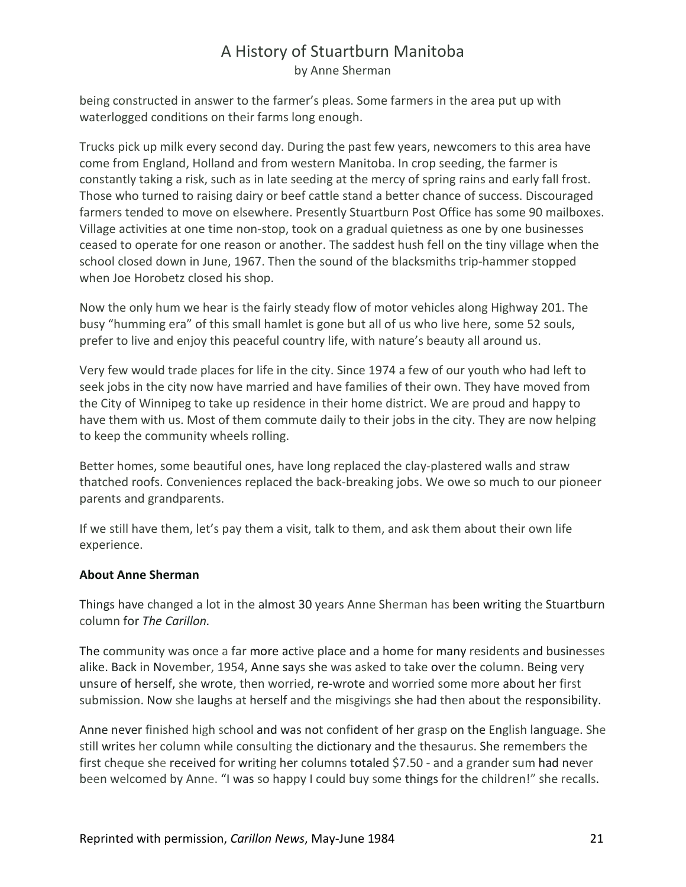being constructed in answer to the farmer's pleas. Some farmers in the area put up with waterlogged conditions on their farms long enough.

Trucks pick up milk every second day. During the past few years, newcomers to this area have come from England, Holland and from western Manitoba. In crop seeding, the farmer is constantly taking a risk, such as in late seeding at the mercy of spring rains and early fall frost. Those who turned to raising dairy or beef cattle stand a better chance of success. Discouraged farmers tended to move on elsewhere. Presently Stuartburn Post Office has some 90 mailboxes. Village activities at one time non-stop, took on a gradual quietness as one by one businesses ceased to operate for one reason or another. The saddest hush fell on the tiny village when the school closed down in June, 1967. Then the sound of the blacksmiths trip-hammer stopped when Joe Horobetz closed his shop.

Now the only hum we hear is the fairly steady flow of motor vehicles along Highway 201. The busy "humming era" of this small hamlet is gone but all of us who live here, some 52 souls, prefer to live and enjoy this peaceful country life, with nature's beauty all around us.

Very few would trade places for life in the city. Since 1974 a few of our youth who had left to seek jobs in the city now have married and have families of their own. They have moved from the City of Winnipeg to take up residence in their home district. We are proud and happy to have them with us. Most of them commute daily to their jobs in the city. They are now helping to keep the community wheels rolling.

Better homes, some beautiful ones, have long replaced the clay-plastered walls and straw thatched roofs. Conveniences replaced the back-breaking jobs. We owe so much to our pioneer parents and grandparents.

If we still have them, let's pay them a visit, talk to them, and ask them about their own life experience.

#### **About Anne Sherman**

Things have changed a lot in the almost 30 years Anne Sherman has been writing the Stuartburn column for *The Carillon.*

The community was once a far more active place and a home for many residents and businesses alike. Back in November, 1954, Anne says she was asked to take over the column. Being very unsure of herself, she wrote, then worried, re-wrote and worried some more about her first submission. Now she laughs at herself and the misgivings she had then about the responsibility.

Anne never finished high school and was not confident of her grasp on the English language. She still writes her column while consulting the dictionary and the thesaurus. She remembers the first cheque she received for writing her columns totaled \$7.50 - and a grander sum had never been welcomed by Anne. "I was so happy I could buy some things for the children!" she recalls.